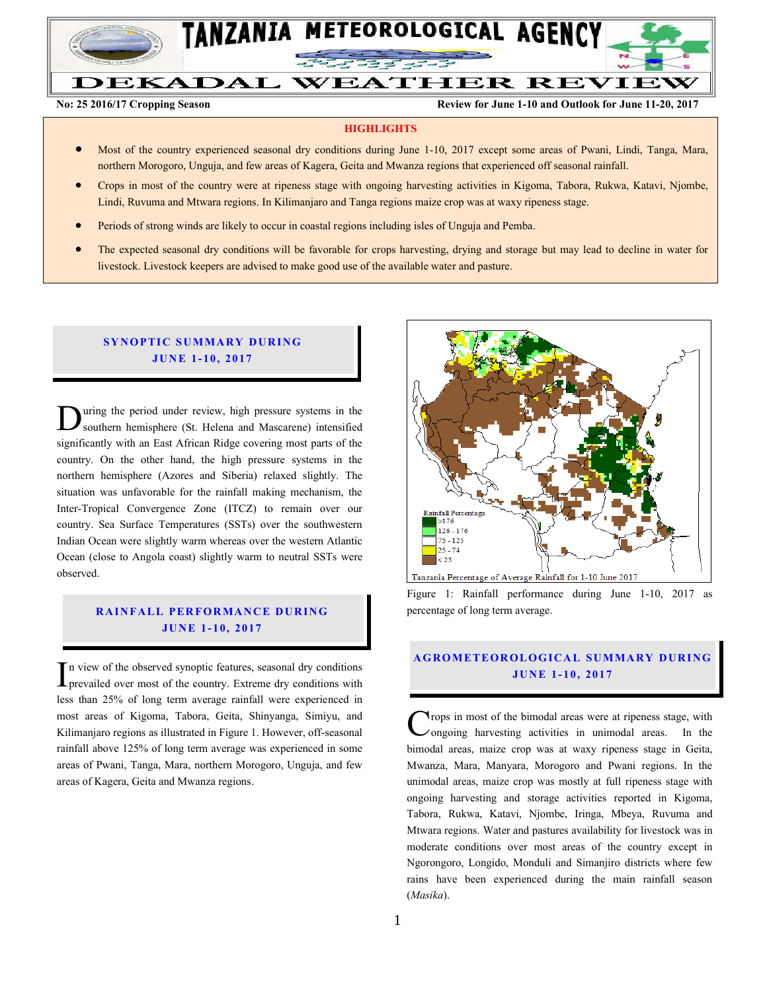

# DEKADAL WEATHER REVIEW

**No: 25 2016/17 Cropping Season Review for June 1-10 and Outlook for June 11-20, 2017**

#### **HIGHLIGHTS**

- Most of the country experienced seasonal dry conditions during June 1-10, 2017 except some areas of Pwani, Lindi, Tanga, Mara, northern Morogoro, Unguja, and few areas of Kagera, Geita and Mwanza regions that experienced off seasonal rainfall.
- Crops in most of the country were at ripeness stage with ongoing harvesting activities in Kigoma, Tabora, Rukwa, Katavi, Njombe, Lindi, Ruvuma and Mtwara regions. In Kilimanjaro and Tanga regions maize crop was at waxy ripeness stage.
- **•** Periods of strong winds are likely to occur in coastal regions including isles of Unguja and Pemba.
- The expected seasonal dry conditions will be favorable for crops harvesting, drying and storage but may lead to decline in water for livestock. Livestock keepers are advised to make good use of the available water and pasture.

#### **SYNOPTIC SUMMARY DURING JUNE 1-10, 2017**

uring the period under review, high pressure systems in the southern hemisphere (St. Helena and Mascarene) intensified significantly with an East African Ridge covering most parts of the country. On the other hand, the high pressure systems in the northern hemisphere (Azores and Siberia) relaxed slightly. The situation was unfavorable for the rainfall making mechanism, the Inter-Tropical Convergence Zone (ITCZ) to remain over our country. Sea Surface Temperatures (SSTs) over the southwestern Indian Ocean were slightly warm whereas over the western Atlantic Ocean (close to Angola coast) slightly warm to neutral SSTs were observed. D

# **RAINFALL PERFORMANCE DURING JU N E 1- 10, 2017**

n view of the observed synoptic features, seasonal dry conditions  $\prod$ n view of the observed synoptic features, seasonal dry conditions<br>prevailed over most of the country. Extreme dry conditions with less than 25% of long term average rainfall were experienced in most areas of Kigoma, Tabora, Geita, Shinyanga, Simiyu, and Kilimanjaro regions as illustrated in Figure 1. However, off-seasonal rainfall above 125% of long term average was experienced in some areas of Pwani, Tanga, Mara, northern Morogoro, Unguja, and few areas of Kagera, Geita and Mwanza regions.



Figure 1: Rainfall performance during June 1-10, 2017 as percentage of long term average.

#### **A G RO METEO R O LOG ICA L SU MMA RY D UR ING JU N E 1 - 10, 2017**

**Trops** in most of the bimodal areas were at ripeness stage, with ongoing harvesting activities in unimodal areas. In the bimodal areas, maize crop was at waxy ripeness stage in Geita, Mwanza, Mara, Manyara, Morogoro and Pwani regions. In the unimodal areas, maize crop was mostly at full ripeness stage with ongoing harvesting and storage activities reported in Kigoma, Tabora, Rukwa, Katavi, Njombe, Iringa, Mbeya, Ruvuma and Mtwara regions. Water and pastures availability for livestock was in moderate conditions over most areas of the country except in Ngorongoro, Longido, Monduli and Simanjiro districts where few rains have been experienced during the main rainfall season (*Masika*). C